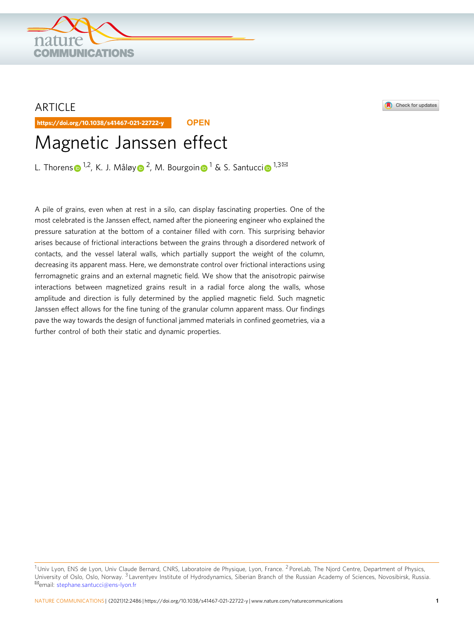## ARTICLE

https://doi.org/10.1038/s41467-021-22722-y **OPEN**

# Magnetic Janssen effect

L. Thoren[s](http://orcid.org/0000-0001-8913-0327)  $\bullet^{1,2}$  $\bullet^{1,2}$  $\bullet^{1,2}$ , K. J. Målø[y](http://orcid.org/0000-0002-7841-468X)  $\bullet^2$ , M. Bourgoi[n](http://orcid.org/0000-0001-9442-7694)  $\bullet^1$  $\bullet^1$  & S. Santucc[i](http://orcid.org/0000-0002-6323-191X)  $\bullet^{1,3\boxtimes}$ 

A pile of grains, even when at rest in a silo, can display fascinating properties. One of the most celebrated is the Janssen effect, named after the pioneering engineer who explained the pressure saturation at the bottom of a container filled with corn. This surprising behavior arises because of frictional interactions between the grains through a disordered network of contacts, and the vessel lateral walls, which partially support the weight of the column, decreasing its apparent mass. Here, we demonstrate control over frictional interactions using ferromagnetic grains and an external magnetic field. We show that the anisotropic pairwise interactions between magnetized grains result in a radial force along the walls, whose amplitude and direction is fully determined by the applied magnetic field. Such magnetic Janssen effect allows for the fine tuning of the granular column apparent mass. Our findings pave the way towards the design of functional jammed materials in confined geometries, via a further control of both their static and dynamic properties.





<sup>&</sup>lt;sup>1</sup> Univ Lyon, ENS de Lyon, Univ Claude Bernard, CNRS, Laboratoire de Physique, Lyon, France. <sup>2</sup> PoreLab, The Njord Centre, Department of Physics, University of Oslo, Oslo, Norway. <sup>3</sup> Lavrentyev Institute of Hydrodynamics, Siberian Branch of the Russian Academy of Sciences, Novosibirsk, Russia. ✉email: [stephane.santucci@ens-lyon.fr](mailto:stephane.santucci@ens-lyon.fr)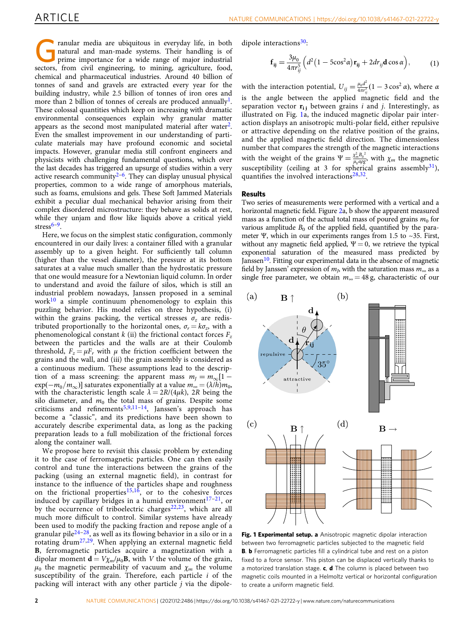<span id="page-1-0"></span>ranular media are ubiquitous in everyday life, in both natural and man-made systems. Their handling is of prime importance for a wide range of major industrial sectors, from civil engineering, to mining, agriculture, food, chemical and pharmaceutical industries. Around 40 billion of tonnes of sand and gravels are extracted every year for the building industry, while 2.5 billion of tonnes of iron ores and more than 2 billion of tonnes of cereals are produced annually<sup>1</sup>. These colossal quantities which keep on increasing with dramatic environmental consequences explain why granular matter appears as the second most manipulated material after water<sup>2</sup>. Even the smallest improvement in our understanding of particulate materials may have profound economic and societal impacts. However, granular media still confront engineers and physicists with challenging fundamental questions, which over the last decades has triggered an upsurge of studies within a very active research community $2-6$  $2-6$ . They can display unusual physical properties, common to a wide range of amorphous materials, such as foams, emulsions and gels. These Soft Jammed Materials exhibit a peculiar dual mechanical behavior arising from their complex disordered microstructure: they behave as solids at rest, while they unjam and flow like liquids above a critical yield stress $6-9$  $6-9$  $6-9$ .

Here, we focus on the simplest static configuration, commonly encountered in our daily lives: a container filled with a granular assembly up to a given height. For sufficiently tall column (higher than the vessel diameter), the pressure at its bottom saturates at a value much smaller than the hydrostatic pressure that one would measure for a Newtonian liquid column. In order to understand and avoid the failure of silos, which is still an industrial problem nowadays, Janssen proposed in a seminal work $10$  a simple continuum phenomenology to explain this puzzling behavior. His model relies on three hypothesis, (i) within the grains packing, the vertical stresses  $\sigma_z$  are redistributed proportionally to the horizontal ones,  $\sigma_r = k\sigma_z$ , with a phenomenological constant  $k$  (ii) the frictional contact forces  $F_z$ between the particles and the walls are at their Coulomb threshold,  $F_z = \mu F_r$  with  $\mu$  the friction coefficient between the grains and the wall, and (iii) the grain assembly is considered as a continuous medium. These assumptions lead to the description of a mass screening: the apparent mass  $m_J = m_\infty [1$  $exp(-m_0/m_\infty)$ ] saturates exponentially at a value  $m_\infty = (\lambda/h)m_0$ , with the characteristic length scale  $\lambda = 2R/(4\mu k)$ , 2R being the silo diameter, and  $m_0$  the total mass of grains. Despite some criticisms and refinements<sup>[5,9,11](#page-4-0)-[14](#page-4-0)</sup>, Janssen's approach has become a "classic", and its predictions have been shown to accurately describe experimental data, as long as the packing preparation leads to a full mobilization of the frictional forces along the container wall.

We propose here to revisit this classic problem by extending it to the case of ferromagnetic particles. One can then easily control and tune the interactions between the grains of the packing (using an external magnetic field), in contrast for instance to the influence of the particles shape and roughness on the frictional properties<sup>[15](#page-4-0),16</sup>, or to the cohesive forces induced by capillary bridges in a humid environment $17-21$  $17-21$ , or by the occurrence of triboelectric charges<sup>[22](#page-5-0),[23](#page-5-0)</sup>, which are all much more difficult to control. Similar systems have already been used to modify the packing fraction and repose angle of a granular pile $24-28$  $24-28$  $24-28$ , as well as its flowing behavior in a silo or in a rotating drum[27,29.](#page-5-0) When applying an external magnetic field B, ferromagnetic particles acquire a magnetization with a dipolar moment  $\mathbf{d} = V \chi_m / \mu_0 \mathbf{B}$ , with V the volume of the grain,  $\mu_0$  the magnetic permeability of vacuum and  $\chi_m$  the volume susceptibility of the grain. Therefore, each particle i of the packing will interact with any other particle j via the dipoledipole interactions<sup>30</sup>:

$$
\mathbf{f}_{ij} = \frac{3\mu_0}{4\pi r_{ij}^5} \Big( d^2 \big( 1 - 5\cos^2 \alpha \big) \mathbf{r}_{ij} + 2dr_{ij} \mathbf{d} \cos \alpha \Big), \tag{1}
$$

with the interaction potential,  $U_{ij} = \frac{\mu_0 d^2}{4\pi r_{ij}^3} (1 - 3\cos^2 \alpha)$ , where a is the angle between the applied magnetic field and the separation vector  $r_{i j}$  between grains *i* and *j*. Interestingly, as illustrated on Fig. 1a, the induced magnetic dipolar pair interaction displays an anisotropic multi-polar field, either repulsive or attractive depending on the relative position of the grains, and the applied magnetic field direction. The dimensionless number that compares the strength of the magnetic interactions with the weight of the grains  $\Psi = \frac{\chi_m^2 B_0^2}{\mu_0 a \rho g}$ , with  $\chi_m$  the magnetic susceptibility (ceiling at 3 for spherical grains assembly $31$ ), quantifies the involved interactions<sup>28,32</sup>.

#### Results

Two series of measurements were performed with a vertical and a horizontal magnetic field. Figure [2](#page-2-0)a, b show the apparent measured mass as a function of the actual total mass of poured grains  $m_0$  for various amplitude  $B_0$  of the applied field, quantified by the parameter Ψ, which in our experiments ranges from 1.5 to ~35. First, without any magnetic field applied,  $\Psi = 0$ , we retrieve the typical exponential saturation of the measured mass predicted by Janssen<sup>10</sup>. Fitting our experimental data in the absence of magnetic field by Janssen' expression of  $m_l$ , with the saturation mass  $m_\infty$  as a single free parameter, we obtain  $m_{\infty} = 48$  g, characteristic of our



Fig. 1 Experimental setup. a Anisotropic magnetic dipolar interaction between two ferromagnetic particles subjected to the magnetic field B. **b** Ferromagnetic particles fill a cylindrical tube and rest on a piston fixed to a force sensor. This piston can be displaced vertically thanks to a motorized translation stage.  $c$ ,  $d$  The column is placed between two magnetic coils mounted in a Helmoltz vertical or horizontal configuration to create a uniform magnetic field.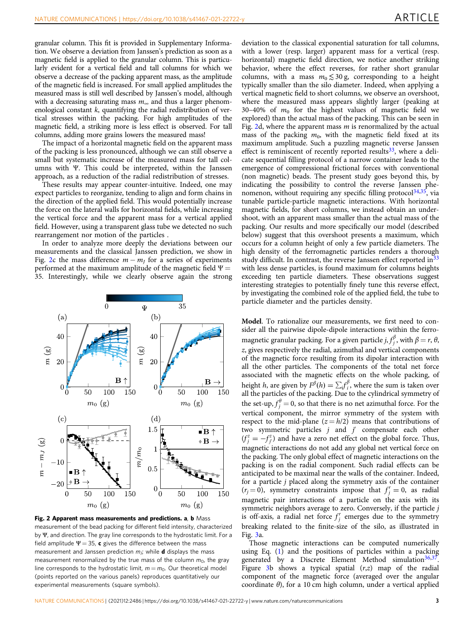<span id="page-2-0"></span>granular column. This fit is provided in Supplementary Information. We observe a deviation from Janssen's prediction as soon as a magnetic field is applied to the granular column. This is particularly evident for a vertical field and tall columns for which we observe a decrease of the packing apparent mass, as the amplitude of the magnetic field is increased. For small applied amplitudes the measured mass is still well described by Janssen's model, although with a decreasing saturating mass  $m_{\infty}$  and thus a larger phenomenological constant  $k$ , quantifying the radial redistribution of vertical stresses within the packing. For high amplitudes of the magnetic field, a striking more is less effect is observed. For tall columns, adding more grains lowers the measured mass!

The impact of a horizontal magnetic field on the apparent mass of the packing is less pronounced, although we can still observe a small but systematic increase of the measured mass for tall columns with Ψ. This could be interpreted, within the Janssen approach, as a reduction of the radial redistribution of stresses.

These results may appear counter-intuitive. Indeed, one may expect particles to reorganize, tending to align and form chains in the direction of the applied field. This would potentially increase the force on the lateral walls for horizontal fields, while increasing the vertical force and the apparent mass for a vertical applied field. However, using a transparent glass tube we detected no such rearrangement nor motion of the particles .

In order to analyze more deeply the deviations between our measurements and the classical Janssen prediction, we show in Fig. 2c the mass difference  $m - m<sub>I</sub>$  for a series of experiments performed at the maximum amplitude of the magnetic field  $\Psi =$ 35. Interestingly, while we clearly observe again the strong



Fig. 2 Apparent mass measurements and predictions. a, b Mass measurement of the bead packing for different field intensity, characterized by Ψ, and direction. The gray line corresponds to the hydrostatic limit. For a field amplitude  $\Psi = 35$ , c gives the difference between the mass measurement and Janssen prediction  $m_j$ ; while **d** displays the mass measurement renormalized by the true mass of the column  $m_0$ , the gray line corresponds to the hydrostatic limit,  $m = m_0$ . Our theoretical model (points reported on the various panels) reproduces quantitatively our experimental measurements (square symbols).

deviation to the classical exponential saturation for tall columns, with a lower (resp. larger) apparent mass for a vertical (resp. horizontal) magnetic field direction, we notice another striking behavior, where the effect reverses, for rather short granular columns, with a mass  $m_0 \leq 30$  g, corresponding to a height typically smaller than the silo diameter. Indeed, when applying a vertical magnetic field to short columns, we observe an overshoot, where the measured mass appears slightly larger (peaking at 30–40% of  $m_0$  for the highest values of magnetic field we explored) than the actual mass of the packing. This can be seen in Fig. 2d, where the apparent mass  $m$  is renormalized by the actual mass of the packing  $m_0$ , with the magnetic field fixed at its maximum amplitude. Such a puzzling magnetic reverse Janssen effect is reminiscent of recently reported results<sup>33</sup>, where a delicate sequential filling protocol of a narrow container leads to the emergence of compressional frictional forces with conventional (non magnetic) beads. The present study goes beyond this, by indicating the possibility to control the reverse Janssen phenomenon, without requiring any specific filling protocol $34,35$ , via tunable particle-particle magnetic interactions. With horizontal magnetic fields, for short columns, we instead obtain an undershoot, with an apparent mass smaller than the actual mass of the packing. Our results and more specifically our model (described below) suggest that this overshoot presents a maximum, which occurs for a column height of only a few particle diameters. The high density of the ferromagnetic particles renders a thorough study difficult. In contrast, the reverse Janssen effect reported in  $33$ with less dense particles, is found maximum for columns heights exceeding ten particle diameters. These observations suggest interesting strategies to potentially finely tune this reverse effect, by investigating the combined role of the applied field, the tube to particle diameter and the particles density.

Model. To rationalize our measurements, we first need to consider all the pairwise dipole-dipole interactions within the ferromagnetic granular packing. For a given particle  $j, f_j^{\beta}$ , with  $\beta = r$ ,  $\theta$ , z, gives respectively the radial, azimuthal and vertical components of the magnetic force resulting from its dipolar interaction with all the other particles. The components of the total net force associated with the magnetic effects on the whole packing, of height *h*, are given by  $F^{\beta}(h) = \sum_i f_i^{\beta}$ , where the sum is taken over all the particles of the packing. Due to the cylindrical symmetry of the set-up,  $f_j^{\theta} = 0$ , so that there is no net azimuthal force. For the vertical component, the mirror symmetry of the system with respect to the mid-plane  $(z = h/2)$  means that contributions of two symmetric particles  $j$  and  $j'$  compensate each other  $(f_j^z = -f_j^z)$  and have a zero net effect on the global force. Thus, magnetic interactions do not add any global net vertical force on the packing. The only global effect of magnetic interactions on the packing is on the radial component. Such radial effects can be anticipated to be maximal near the walls of the container. Indeed, for a particle j placed along the symmetry axis of the container  $(r_j = 0)$ , symmetry constraints impose that  $f_j^r = 0$ , as radial magnetic pair interactions of a particle on the axis with its symmetric neighbors average to zero. Conversely, if the particle j is off-axis, a radial net force  $f_j^r$  emerges due to the symmetry breaking related to the finite-size of the silo, as illustrated in Fig. [3](#page-3-0)a.

Those magnetic interactions can be computed numerically using Eq. ([1](#page-1-0)) and the positions of particles within a packing generated by a Discrete Element Method simulation $36,37$ . Figure [3b](#page-3-0) shows a typical spatial  $(r, z)$  map of the radial component of the magnetic force (averaged over the angular coordinate θ), for a 10 cm high column, under a vertical applied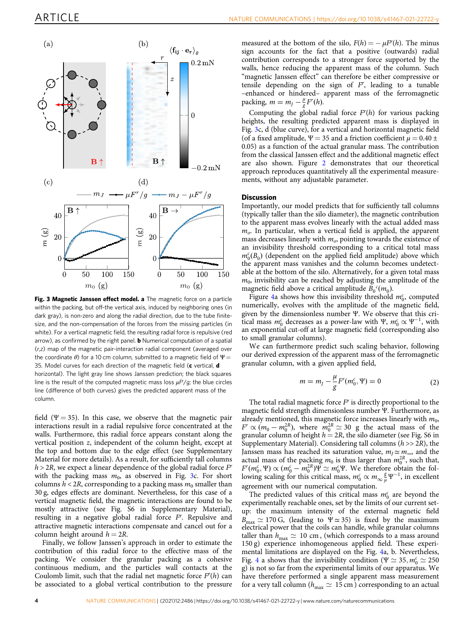<span id="page-3-0"></span>

Fig. 3 Magnetic Janssen effect model. a The magnetic force on a particle within the packing, but off-the vertical axis, induced by neighboring ones (in dark gray), is non-zero and along the radial direction, due to the tube finitesize, and the non-compensation of the forces from the missing particles (in white). For a vertical magnetic field, the resulting radial force is repulsive (red arrow), as confirmed by the right panel. **b** Numerical computation of a spatial (r,z) map of the magnetic pair-interaction radial component (averaged over the coordinate  $\theta$ ) for a 10 cm column, submitted to a magnetic field of  $\Psi$  = 35. Model curves for each direction of the magnetic field  $(c$  vertical,  $d$ horizontal). The light gray line shows Janssen prediction; the black squares line is the result of the computed magnetic mass loss  $\mu$ F/g; the blue circles<br>line (difference of both curves) gives the prodicted apparent mass of the line (difference of both curves) gives the predicted apparent mass of the column.

field ( $\Psi$  = 35). In this case, we observe that the magnetic pair interactions result in a radial repulsive force concentrated at the walls. Furthermore, this radial force appears constant along the vertical position z, independent of the column height, except at the top and bottom due to the edge effect (see Supplementary Material for more details). As a result, for sufficiently tall columns  $h > 2R$ , we expect a linear dependence of the global radial force  $F<sup>r</sup>$ with the packing mass  $m_0$ , as observed in Fig. 3c. For short columns  $h < 2R$ , corresponding to a packing mass  $m_0$  smaller than 30 g, edges effects are dominant. Nevertheless, for this case of a vertical magnetic field, the magnetic interactions are found to be mostly attractive (see Fig. S6 in Supplementary Material), resulting in a negative global radial force  $F<sup>r</sup>$ . Repulsive and attractive magnetic interactions compensate and cancel out for a column height around  $h = 2R$ .

Finally, we follow Janssen's approach in order to estimate the contribution of this radial force to the effective mass of the packing. We consider the granular packing as a cohesive continuous medium, and the particles wall contacts at the Coulomb limit, such that the radial net magnetic force  $F<sup>r</sup>(h)$  can be associated to a global vertical contribution to the pressure measured at the bottom of the silo,  $F(h) = -\mu F^{r}(h)$ . The minus sign accounts for the fact that a positive (outwards) radial contribution corresponds to a stronger force supported by the walls, hence reducing the apparent mass of the column. Such "magnetic Janssen effect" can therefore be either compressive or tensile depending on the sign of  $F<sup>r</sup>$ , leading to a tunable –enhanced or hindered– apparent mass of the ferromagnetic packing,  $m = m_j - \frac{\mu}{g} F^r(h)$ .

Computing the global radial force  $F<sup>r</sup>(h)$  for various packing heights, the resulting predicted apparent mass is displayed in Fig. 3c, d (blue curve), for a vertical and horizontal magnetic field (of a fixed amplitude,  $\Psi = 35$  and a friction coefficient  $\mu = 0.40 \pm$ 0.05) as a function of the actual granular mass. The contribution from the classical Janssen effect and the additional magnetic effect are also shown. Figure [2](#page-2-0) demonstrates that our theoretical approach reproduces quantitatively all the experimental measurements, without any adjustable parameter.

#### **Discussion**

Importantly, our model predicts that for sufficiently tall columns (typically taller than the silo diameter), the magnetic contribution to the apparent mass evolves linearly with the actual added mass  $m<sub>o</sub>$ . In particular, when a vertical field is applied, the apparent mass decreases linearly with  $m<sub>o</sub>$ , pointing towards the existence of an invisibility threshold corresponding to a critical total mass  $m_0^c(B_0)$  (dependent on the applied field amplitude) above which the apparent mass vanishes and the column becomes undetectable at the bottom of the silo. Alternatively, for a given total mass  $m<sub>0</sub>$ , invisibility can be reached by adjusting the amplitude of the magnetic field above a critical amplitude  $\tilde{B}_0^c(m_0)$ .

Figure [4a](#page-4-0) shows how this invisibility threshold  $m_0^c$ , computed numerically, evolves with the amplitude of the magnetic field, given by the dimensionless number Ψ. We observe that this critical mass  $m_0^c$  decreases as a power-law with Ψ,  $m_0^c \propto \Psi^{-1}$ , with an exponential cut-off at large magnetic field (corresponding also to small granular columns).

We can furthermore predict such scaling behavior, following our derived expression of the apparent mass of the ferromagnetic granular column, with a given applied field,

$$
m = m_{J} - \frac{\mu}{g} F'(m_0^c, \Psi) = 0
$$
 (2)

The total radial magnetic force  $F<sup>r</sup>$  is directly proportional to the magnetic field strength dimensionless number Ψ. Furthermore, as already mentioned, this magnetic force increases linearly with  $m_0$ ,  $F^r \propto (m_0 - m_0^{2R})$ , where  $m_0^{2R} \simeq 30$  g the actual mass of the granular column of height  $h = 2R$ , the silo diameter (see Fig. S6 in Supplementary Material). Considering tall columns ( $h \gg 2R$ ), the Janssen mass has reached its saturation value,  $m_1 \simeq m_{\infty}$ , and the actual mass of the packing  $m_0$  is thus larger than  $m_0^{2R}$ , such that,  $F^r(m_0^c, \Psi) \propto (m_0^c - m_0^{2R})\Psi \simeq m_0^c \Psi$ . We therefore obtain the fol- $F'(m_0^2, \Psi) \propto (m_0^2 - m_0^{2.5}) \Psi \cong m_0^2 \Psi$ . We therefore obtain the following scaling for this critical mass,  $m_0^6 \propto m_\infty \frac{g}{\mu} \Psi^{-1}$ , in excellent agreement with our numerical computation.

The predicted values of this critical mass  $m_0^c$  are beyond the experimentally reachable ones, set by the limits of our current setup: the maximum intensity of the external magnetic field  $B_{\text{max}} \simeq 170 \text{ G}$ , (leading to  $\Psi \simeq 35$ ) is fixed by the maximum electrical power that the coils can handle, while granular columns taller than  $h_{\text{max}} \simeq 10 \text{ cm}$ , (which corresponds to a mass around 150 g) experience inhomogeneous applied field. These experimental limitations are displayed on the Fig. [4a](#page-4-0), b. Nevertheless, Fig. [4](#page-4-0) a shows that the invisibility condition ( $\Psi \simeq 35$ ,  $m_0^c \simeq 250$ g) is not so far from the experimental limits of our apparatus. We have therefore performed a single apparent mass measurement for a very tall column ( $h_{\text{max}} \simeq 15 \text{ cm}$ ) corresponding to an actual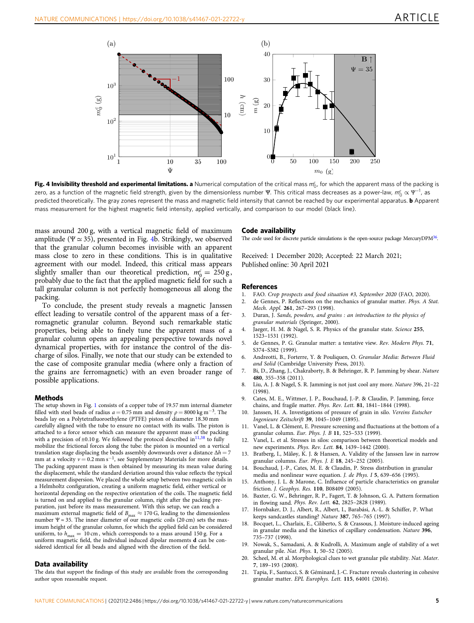<span id="page-4-0"></span>

**Fig. 4 Invisibility threshold and experimental limitations. a** Numerical computation of the critical mass  $m_0^c$ , for which the apparent mass of the packing is<br>zero, as a function of the magnetic field strength, given b zero, as a function of the magnetic field strength, given by the dimensionless number Ψ. This critical mass decreases as a power-law, m<sub>6</sub>  $\propto$  Ψ<sup>-1</sup>, as<br>prodicted theoretically. The gray zones represent the mass and ma predicted theoretically. The gray zones represent the mass and magnetic field intensity that cannot be reached by our experimental apparatus. **b** Apparent mass measurement for the highest magnetic field intensity, applied vertically, and comparison to our model (black line).

mass around 200 g, with a vertical magnetic field of maximum amplitude ( $\Psi \approx 35$ ), presented in Fig. 4b. Strikingly, we observed that the granular column becomes invisible with an apparent mass close to zero in these conditions. This is in qualitative agreement with our model. Indeed, this critical mass appears slightly smaller than our theoretical prediction,  $m_0^c = 250 g$ , probably due to the fact that the applied magnetic field for such a tall granular column is not perfectly homogeneous all along the packing.

To conclude, the present study reveals a magnetic Janssen effect leading to versatile control of the apparent mass of a ferromagnetic granular column. Beyond such remarkable static properties, being able to finely tune the apparent mass of a granular column opens an appealing perspective towards novel dynamical properties, with for instance the control of the discharge of silos. Finally, we note that our study can be extended to the case of composite granular media (where only a fraction of the grains are ferromagnetic) with an even broader range of possible applications.

#### Methods

The setup shown in Fig. [1](#page-1-0) consists of a copper tube of 19.57 mm internal diameter filled with steel beads of radius  $a = 0.75$  mm and density  $\rho = 8000 \text{ kg m}^{-3}$ . The beads lay on a Polytetrafluoroethylene (PTFE) piston of diameter 18.30 mm carefully aligned with the tube to ensure no contact with its walls. The piston is attached to a force sensor which can measure the apparent mass of the packing with a precision of  $\pm 0.10$  g. We followed the protocol described in<sup>11,[38](#page-5-0)</sup> to fully mobilize the frictional forces along the tube: the piston is mounted on a vertical translation stage displacing the beads assembly downwards over a distance  $\Delta h = 7$ mm at a velocity  $v = 0.2$  mm s<sup>-1</sup>, see Supplementary Materials for more details. The packing apparent mass is then obtained by measuring its mean value during the displacement, while the standard deviation around this value reflects the typical measurement dispersion. We placed the whole setup between two magnetic coils in a Helmholtz configuration, creating a uniform magnetic field, either vertical or horizontal depending on the respective orientation of the coils. The magnetic field is turned on and applied to the granular column, right after the packing preparation, just before its mass measurement. With this setup, we can reach a maximum external magnetic field of  $B_{\rm max} \approx$  170 G, leading to the dimensionless number  $\Psi \approx 35$ . The inner diameter of our magnetic coils (20 cm) sets the maximum height of the granular column, for which the applied field can be considered uniform, to  $h_{\text{max}} = 10 \text{ cm}$ , which corresponds to a mass around 150 g. For a uniform magnetic field, the individual induced dipolar moments d can be considered identical for all beads and aligned with the direction of the field.

#### Data availability

The data that support the findings of this study are available from the corresponding author upon reasonable request.

#### Code availability

The code used for discrete particle simulations is the open-source package MercuryDPM<sup>36</sup>.

Received: 1 December 2020; Accepted: 22 March 2021; Published online: 30 April 2021

#### References

- 1. FAO. Crop prospects and food situation #3, September 2020 (FAO, 2020).
- 2. de Gennes, P. Reflections on the mechanics of granular matter. Phys. A Stat. Mech. Appl. 261, 267–293 (1998).
- Duran, J. Sands, powders, and grains : an introduction to the physics of granular materials (Springer, 2000).
- 4. Jaeger, H. M. & Nagel, S. R. Physics of the granular state. Science 255, 1523–1531 (1992).
- 5. de Gennes, P. G. Granular matter: a tentative view. Rev. Modern Phys. 71, S374–S382 (1999).
- 6. Andreotti, B., Forterre, Y. & Pouliquen, O. Granular Media: Between Fluid and Solid (Cambridge University Press, 2013).
- 7. Bi, D., Zhang, J., Chakraborty, B. & Behringer, R. P. Jamming by shear. Nature 480, 355–358 (2011).
- 8. Liu, A. J. & Nagel, S. R. Jamming is not just cool any more. Nature 396, 21–22 (1998).
- 9. Cates, M. E., Wittmer, J. P., Bouchaud, J.-P. & Claudin, P. Jamming, force chains, and fragile matter. Phys. Rev. Lett. 81, 1841–1844 (1998).
- 10. Janssen, H. A. Investigations of pressure of grain in silo. Vereins Eutscher Ingenieure Zeitschrift 39, 1045–1049 (1895).
- 11. Vanel, L. & Clément, E. Pressure screening and fluctuations at the bottom of a granular column. Eur. Phys. J. B 11, 525–533 (1999).
- 12. Vanel, L. et al. Stresses in silos: comparison between theoretical models and new experiments. Phys. Rev. Lett. 84, 1439–1442 (2000).
- 13. Bratberg, I., Måløy, K. J. & Hansen, A. Validity of the Janssen law in narrow granular columns. Eur. Phys. J. E 18, 245–252 (2005).
- 14. Bouchaud, J.-P., Cates, M. E. & Claudin, P. Stress distribution in granular media and nonlinear wave equation. J. de Phys. I 5, 639–656 (1995).
- 15. Anthony, J. L. & Marone, C. Influence of particle characteristics on granular friction. J. Geophys. Res. 110, B08409 (2005).
- 16. Baxter, G. W., Behringer, R. P., Fagert, T. & Johnson, G. A. Pattern formation in flowing sand. Phys. Rev. Lett. 62, 2825–2828 (1989).
- 17. Hornbaker, D. J., Albert, R., Albert, I., Barabási, A.-L. & Schiffer, P. What keeps sandcastles standing? Nature 387, 765–765 (1997).
- 18. Bocquet, L., Charlaix, E., Ciliberto, S. & Crassous, J. Moisture-induced ageing in granular media and the kinetics of capillary condensation. Nature 396, 735–737 (1998).
- 19. Nowak, S., Samadani, A. & Kudrolli, A. Maximum angle of stability of a wet granular pile. Nat. Phys. 1, 50–52 (2005).
- 20. Scheel, M. et al. Morphological clues to wet granular pile stability. Nat. Mater. 7, 189–193 (2008).
- 21. Tapia, F., Santucci, S. & Géminard, J.-C. Fracture reveals clustering in cohesive granular matter. EPL Europhys. Lett. 115, 64001 (2016).